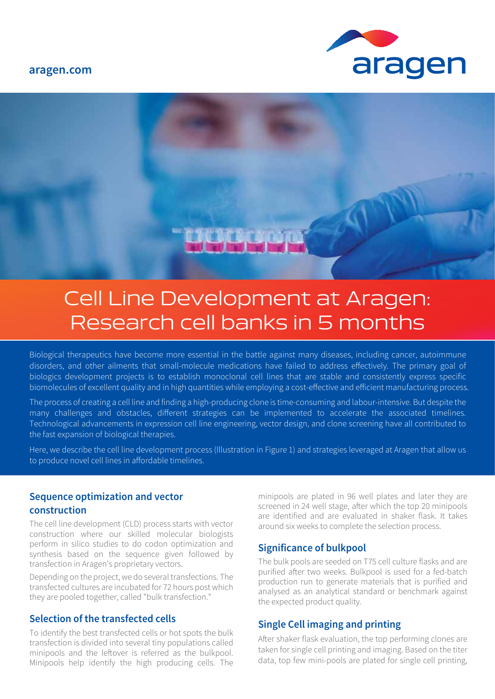**aragen.com**





# Cell Line Development at Aragen: Research cell banks in 5 months

Biological therapeutics have become more essential in the battle against many diseases, including cancer, autoimmune disorders, and other ailments that small-molecule medications have failed to address effectively. The primary goal of biologics development projects is to establish monoclonal cell lines that are stable and consistently express specific biomolecules of excellent quality and in high quantities while employing a cost-effective and efficient manufacturing process.

The process of creating a cell line and finding a high-producing clone is time-consuming and labour-intensive. But despite the many challenges and obstacles, different strategies can be implemented to accelerate the associated timelines. Technological advancements in expression cell line engineering, vector design, and clone screening have all contributed to the fast expansion of biological therapies.

Here, we describe the cell line development process (Illustration in Figure 1) and strategies leveraged at Aragen that allow us to produce novel cell lines in affordable timelines.

#### **Sequence optimization and vector construction**

The cell line development (CLD) process starts with vector construction where our skilled molecular biologists perform in silico studies to do codon optimization and synthesis based on the sequence given followed by transfection in Aragen's proprietary vectors.

Depending on the project, we do several transfections. The transfected cultures are incubated for 72 hours post which they are pooled together, called "bulk transfection."

### **Selection of the transfected cells**

To identify the best transfected cells or hot spots the bulk transfection is divided into several tiny populations called minipools and the leftover is referred as the bulkpool. Minipools help identify the high producing cells. The minipools are plated in 96 well plates and later they are screened in 24 well stage, after which the top 20 minipools are identified and are evaluated in shaker flask. It takes around six weeks to complete the selection process.

#### **Significance of bulkpool**

The bulk pools are seeded on T75 cell culture flasks and are purified after two weeks. Bulkpool is used for a fed-batch production run to generate materials that is purified and analysed as an analytical standard or benchmark against the expected product quality.

#### **Single Cell imaging and printing**

After shaker flask evaluation, the top performing clones are taken for single cell printing and imaging. Based on the titer data, top few mini-pools are plated for single cell printing,